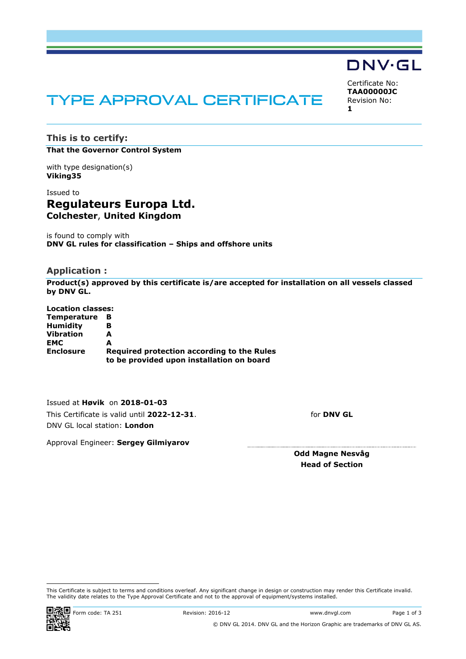# TYPE APPROVAL CERTIFICATE

<span id="page-0-2"></span><span id="page-0-1"></span><span id="page-0-0"></span>Certificate No: **TAA00000JC** Revision No: **1**

**DNV·GL** 

# **This is to certify: That the Governor Control System**

with type designation(s) **Viking35**

# Issued to **Regulateurs Europa Ltd. Colchester**, **United Kingdom**

is found to comply with **DNV GL rules for classification – Ships and offshore units**

## **Application :**

**Product(s) approved by this certificate is/are accepted for installation on all vessels classed by DNV GL.**

**Location classes: Temperature B Humidity B Vibration A EMC A Enclosure Required protection according to the Rules to be provided upon installation on board**

Issued at **Høvik** on **2018-01-03** This Certificate is valid until **2022-12-31**. DNV GL local station: **London**

for **DNV GL**

Approval Engineer: **Sergey Gilmiyarov**

**Odd Magne Nesvåg Head of Section**

This Certificate is subject to terms and conditions overleaf. Any significant change in design or construction may render this Certificate invalid. The validity date relates to the Type Approval Certificate and not to the approval of equipment/systems installed.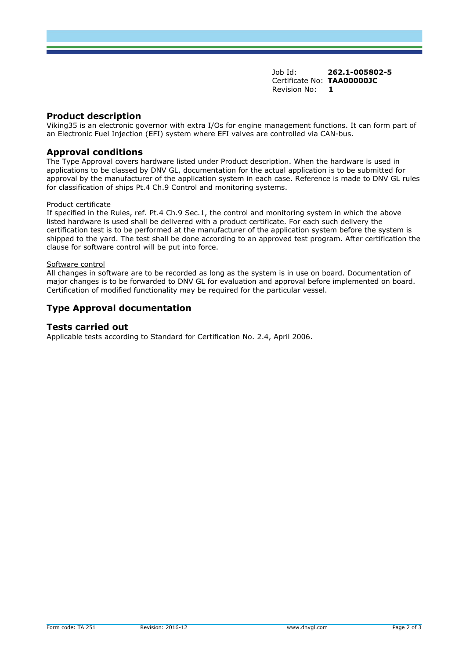Job Id: **262.1-005802-5**  Certificate No: **[TAA00000JC](#page-0-0)** [Revision No:](#page-0-1) **[1](#page-0-2)** 

## **Product description**

Viking35 is an electronic governor with extra I/Os for engine management functions. It can form part of an Electronic Fuel Injection (EFI) system where EFI valves are controlled via CAN-bus.

## **Approval conditions**

The Type Approval covers hardware listed under Product description. When the hardware is used in applications to be classed by DNV GL, documentation for the actual application is to be submitted for approval by the manufacturer of the application system in each case. Reference is made to DNV GL rules for classification of ships Pt.4 Ch.9 Control and monitoring systems.

#### Product certificate

If specified in the Rules, ref. Pt.4 Ch.9 Sec.1, the control and monitoring system in which the above listed hardware is used shall be delivered with a product certificate. For each such delivery the certification test is to be performed at the manufacturer of the application system before the system is shipped to the yard. The test shall be done according to an approved test program. After certification the clause for software control will be put into force.

#### Software control

All changes in software are to be recorded as long as the system is in use on board. Documentation of major changes is to be forwarded to DNV GL for evaluation and approval before implemented on board. Certification of modified functionality may be required for the particular vessel.

# **Type Approval documentation**

### **Tests carried out**

Applicable tests according to Standard for Certification No. 2.4, April 2006.